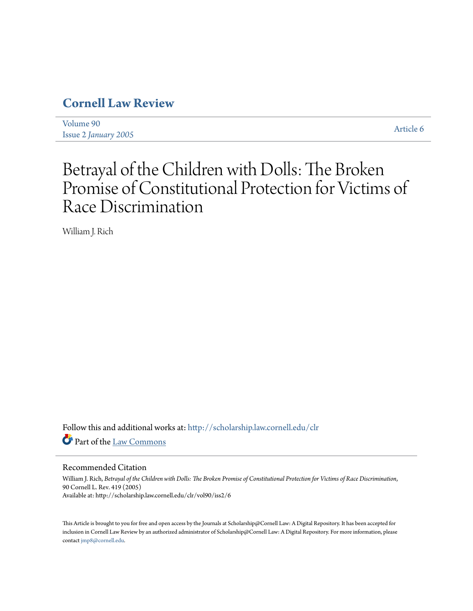## **[Cornell Law Review](http://scholarship.law.cornell.edu/clr?utm_source=scholarship.law.cornell.edu%2Fclr%2Fvol90%2Fiss2%2F6&utm_medium=PDF&utm_campaign=PDFCoverPages)**

[Volume 90](http://scholarship.law.cornell.edu/clr/vol90?utm_source=scholarship.law.cornell.edu%2Fclr%2Fvol90%2Fiss2%2F6&utm_medium=PDF&utm_campaign=PDFCoverPages) Issue 2 *[January 2005](http://scholarship.law.cornell.edu/clr/vol90/iss2?utm_source=scholarship.law.cornell.edu%2Fclr%2Fvol90%2Fiss2%2F6&utm_medium=PDF&utm_campaign=PDFCoverPages)* [Article 6](http://scholarship.law.cornell.edu/clr/vol90/iss2/6?utm_source=scholarship.law.cornell.edu%2Fclr%2Fvol90%2Fiss2%2F6&utm_medium=PDF&utm_campaign=PDFCoverPages)

# Betrayal of the Children with Dolls: The Broken Promise of Constitutional Protection for Victims of Race Discrimination

William J. Rich

Follow this and additional works at: [http://scholarship.law.cornell.edu/clr](http://scholarship.law.cornell.edu/clr?utm_source=scholarship.law.cornell.edu%2Fclr%2Fvol90%2Fiss2%2F6&utm_medium=PDF&utm_campaign=PDFCoverPages) Part of the [Law Commons](http://network.bepress.com/hgg/discipline/578?utm_source=scholarship.law.cornell.edu%2Fclr%2Fvol90%2Fiss2%2F6&utm_medium=PDF&utm_campaign=PDFCoverPages)

#### Recommended Citation

William J. Rich, *Betrayal of the Children with Dolls: The Broken Promise of Constitutional Protection for Victims of Race Discrimination*, 90 Cornell L. Rev. 419 (2005) Available at: http://scholarship.law.cornell.edu/clr/vol90/iss2/6

This Article is brought to you for free and open access by the Journals at Scholarship@Cornell Law: A Digital Repository. It has been accepted for inclusion in Cornell Law Review by an authorized administrator of Scholarship@Cornell Law: A Digital Repository. For more information, please contact [jmp8@cornell.edu.](mailto:jmp8@cornell.edu)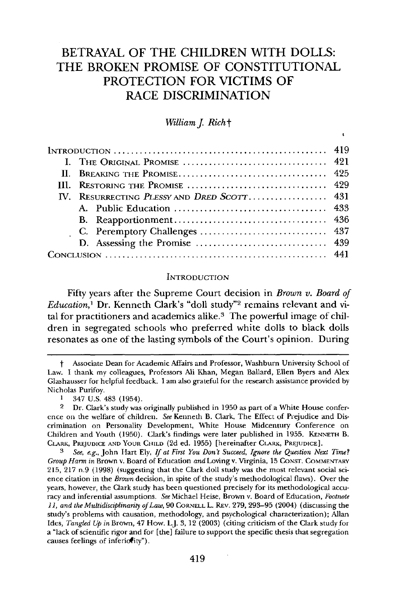### BETRAYAL OF THE CHILDREN WITH **DOLLS:** THE BROKEN PROMISE OF **CONSTITUTIONAL** PROTECTION FOR VICTIMS OF RACE **DISCRIMINATION**

*William J. Rich*<sup>+</sup>

 $\ddot{\phantom{0}}$ 

|  | $1$ NTRODUCTION $\ldots \ldots \ldots \ldots \ldots \ldots \ldots \ldots \ldots \ldots \ldots \ldots$ |  |
|--|-------------------------------------------------------------------------------------------------------|--|
|  |                                                                                                       |  |
|  |                                                                                                       |  |
|  |                                                                                                       |  |
|  | IV. RESURRECTING PLESSY AND DRED SCOTT 431                                                            |  |
|  |                                                                                                       |  |
|  |                                                                                                       |  |
|  |                                                                                                       |  |
|  |                                                                                                       |  |
|  |                                                                                                       |  |

#### **INTRODUCTION**

Fifty years after the Supreme Court decision in *Brown v. Board of Education,'* Dr. Kenneth Clark's "doll study"2 remains relevant and vital for practitioners and academics alike.<sup>3</sup> The powerful image of children in segregated schools who preferred white dolls to black dolls resonates as one of the lasting symbols of the Court's opinion. During

t Associate Dean for Academic Affairs and Professor, Washburn University School of Law. I thank my colleagues, Professors Ali Khan, Megan Ballard, Ellen Byers and Alex Glashausser for helpful feedback. I am also grateful for the research assistance provided by Nicholas Purifoy.

<sup>1 347</sup> U.S. 483 (1954).

<sup>2</sup> Dr. Clark's study was originally published in 1950 as part of a White House conference on the welfare of children. *See* Kenneth B. Clark, The Effect of Prejudice and Discrimination on Personality Development, White House Midcentury Conference on Children and Youth (1950). Clark's findings were later published in 1955. **KENNETH** B. CLARK, PREJUDICE AND YOUR CHILD (2d ed. 1955) [hereinafter CLARK, **PREJUDICE].**

*<sup>3</sup> See, e.g.,* John Hart Ely, *If at First You Don't Succeed, Ignore the Question Next Time? Group Harm in* Brown v. Board of Education *and* Loving v. Virginia, 15 **CONST.** COMMENJTARV 215, 217 n.9 (1998) (suggesting that the Clark doll study was the most relevant social science citation in the *Brown* decision, in spite of the study's methodological flaws). Over the years, however, the Clark study has been questioned precisely for its methodological accuracy and inferential assumptions. *See* Michael Heise, Brown v. Board of Education, *Footnote 11, and the Multidisciplinarity of Law,* 90 CORNELL L. REv. 279, 293-95 (2004) (discussing the study's problems with causation, methodology, and psychological characterization); Allan Ides, *Tangled Up in* Brown, 47 How. L.J. 3, 12 (2003) (citing criticism of the Clark study for a "lack of scientific rigor and for [the] failure to support the specific thesis that segregation causes feelings of inferiotity").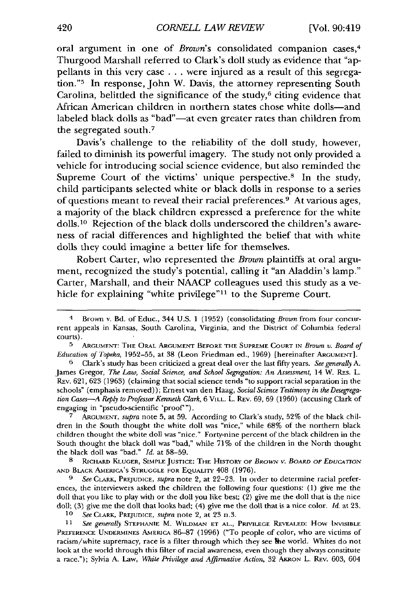oral argument in one of *Brown's* consolidated companion cases,<sup>4</sup> Thurgood Marshall referred to Clark's doll study as evidence that "appellants in this very case **.. .**were injured as a result of this segregation."5 In response, John W. Davis, the attorney representing South Carolina, belittled the significance of the study, $6$  citing evidence that African American children in northern states chose white dolls-and labeled black dolls as "bad"—at even greater rates than children from the segregated south.<sup>7</sup>

Davis's challenge to the reliability of the doll study, however, failed to diminish its powerful imagery. The study not only provided a vehicle for introducing social science evidence, but also reminded the Supreme Court of the victims' unique perspective.<sup>8</sup> In the study, child participants selected white or black dolls in response to a series of questions meant to reveal their racial preferences. 9 At various ages, a majority of the black children expressed a preference for the white dolls.<sup>10</sup> Rejection of the black dolls underscored the children's awareness of racial differences and highlighted the belief that with white dolls they could imagine a better life for themselves.

Robert Carter, who represented the *Brown* plaintiffs at oral argument, recognized the study's potential, calling it "an Aladdin's lamp." Carter, Marshall, and their **NAACP** colleagues used this study as a vehicle for explaining "white privilege"<sup>11</sup> to the Supreme Court.

**7** ARGUMENT, *supra* note 5, at 59. According to Clark's study, 52% of the black children in the South thought the white doll was "nice," while 68% of the northern black children thought the white doll was "nice." Forty-nine percent of the black children in the South thought the black doll was "bad," while 71% of the children in the North thought the black doll was "bad." *Id.* at 58-59.

**8** RICHARD KLUGER, **SIMPLE JUSTICE:** THE HISTORY OF BROWvN *V. BOARD OF* EDUCATION AND BLACK AMERICA'S STRUGGLE FOR EQUALITY 408 (1976).

**9** *See* CLARK, PREJUDICE, *supra* note 2, at 22-23. In order to determine racial preferences, the interviewers asked the children the following four questions: (1) give me the doll that you like to play with or the doll you like best; (2) give me the doll that is the nice doll; (3) give me the doll that looks bad; (4) give me the doll that is a nice color. **Id.** at **23.**

**10** *See* CLARK, PREJUDICE, *supra* note 2, at 23 n.3.

**<sup>11</sup>***See generally* STEPHANIE M. WILDMAN **ET AL.,** PRIVILEGE REVEALED: How INVISIBLE **PREFERENCE** UNDERMINES AMERICA **86-87** (1996) ("To people of color, who are Victims of racism/white supremacy, race is a filter through which they see the world. Whites do not look at the world through this filter of racial awareness, even though they always constitute a race."); Sylvia A. Law, *White Privilege and Affirmative Action,* 32 AKRON L. REV. 603, 604

<sup>4</sup> Brown v. Bd. of Educ., 344 U.S. 1 (1952) (consolidating *Brown* from four concurrent appeals in Kansas, South Carolina, Virginia, and the District of Columbia federal courts).

**<sup>5</sup>**ARGUMEN-T: **THE** OPAL ARGUMENT **BEFORE THE SUPREME COURT** IN *Brown* v. *Board* **of** *Education of Topeka,* 1952-55, at 38 (Leon Friedman ed., 1969) [hereinafter **ARGUMENT].**

**<sup>6</sup>** Clark's study has been criticized a great deal over the last fifty years. *See generally* A. James Gregor, *The Law, Social Science, and School Segregation: An Assessment, 14 W. RES. L.* REV. 621, 623 (1963) (claiming that social science tends "to support racial separation in the schools" (emphasis removed)); Ernest van den Haag, *Social Science Testimony in the Desegregation Cases-A Reply to Professor Kenneth Clark,* 6 VILL. L. REV. 69, **69** (1960) (accusing Clark of engaging in "pseudo-scientific 'proof").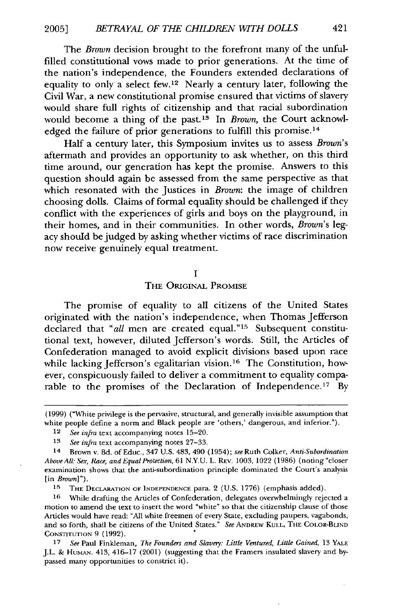The *Brown* decision brought to the forefront many of the unfulfilled constitutional vows made to prior generations. At the time of the nation's independence, the Founders extended declarations of equality to only a select few.<sup>12</sup> Nearly a century later, following the Civil War, a new constitutional promise ensured that victims of slavery would share full rights of citizenship and that racial subordination would become a thing of the past.<sup>13</sup> In *Brown*, the Court acknowledged the failure of prior generations to fulfill this promise.<sup>14</sup>

Half a century later, this Symposium invites us to assess *Brown's* aftermath and provides an opportunity to ask whether, on this third time around, our generation has kept the promise. Answers to this question should again be assessed from the same perspective as that which resonated with the Justices in *Brown*: the image of children choosing dolls. Claims of formal equality should be challenged if they conflict with the experiences of girls and boys on the playground, in their homes, and in their communities. In other words, *Brown's* legacy should be judged by asking whether victims of race discrimination now receive genuinely equal treatment.

#### **I**

THE ORIGINAL PROMISE

The promise of equality to all citizens of the United States originated with the nation's independence, when Thomas Jefferson declared that "all men are created equal."<sup>15</sup> Subsequent constitutional text, however, diluted Jefferson's words. Still, the Articles of Confederation managed to avoid explicit divisions based upon race while lacking Jefferson's egalitarian vision.<sup>16</sup> The Constitution, however, conspicuously failed to deliver a commitment to equality comparable to the promises of the Declaration of Independence.<sup>17</sup> By

**<sup>15</sup>THE DECLARATION** OF **INDEPENDENCE** para. 2 (U.S. **1776)** (emphasis added).

**16** 'While drafting the Articles of Confederation, delegates overwhelmingly rejected a motion to amend the text to insert the word "white" so that the citizenship clause of those Articles would have read: "All white freemen of every State, excluding paupers, vagabonds, and so forth, shall be citizens of the United States." *See* ANDREW **KULL,** THE COLOR-BLIND CONSTITUTION 9 (1992). **<sup>o</sup>**

<sup>(1999) (&</sup>quot;White privilege is the pervasive, structural, and generally invisible assumption that white people define a norm and Black people are 'others,' dangerous, and inferior.").

<sup>12</sup>*See infra* text accompanying notes 15-20.

**<sup>13</sup>***See infra* text accompanying notes 27-33.

**<sup>14</sup>** Brown v. Bd. of Educ., 347 U.S. 483, 490 (1954); *see* Ruth Colker, *Anti-Subordination AboveAlk Sex, Race,* and *EqualProtection,* 61 N.Y.U. L. REv. 1003, 1022 (1986) (noting "closer examination shows that the anti-subordination principle dominated the Court's analysis [in *Brown]").*

**<sup>17</sup>** *See* Paul Finkleman, *The Founders and Slavery: Little Ventured, Little Gained,* 13 YALE J.L. & HuMAN. 413, 416-17 (2001) (suggesting that the Framers insulated slavery and bypassed many opportunities to constrict it).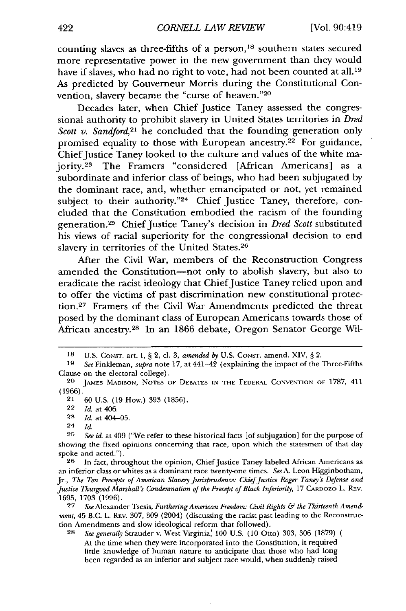counting slaves as three-fifths of a person,<sup>18</sup> southern states secured more representative power in the new government than they would have if slaves, who had no right to vote, had not been counted at all.<sup>19</sup> As predicted by Gouverneur Morris during the Constitutional Convention, slavery became the "curse of heaven."20

Decades later, when Chief Justice Taney assessed the congressional authority to prohibit slavery in United States territories in *Dred Scott v. Sandford*<sup>21</sup> he concluded that the founding generation only promised equality to those with European ancestry.<sup>22</sup> For guidance, Chief Justice Taney looked to the culture and values of the white majority.23 The Framers "considered [African Americans] as a subordinate and inferior class of beings, who had been subjugated by the dominant race, and, whether emancipated or not, yet remained subject to their authority."24 Chief Justice Taney, therefore, concluded that the Constitution embodied the racism of the founding generation. 25 Chief Justice Taney's decision in *Dred Scott* substituted his views of racial superiority for the congressional decision to end slavery in territories of the United States. <sup>26</sup>

After the Civil War, members of the Reconstruction Congress amended the Constitution-not only to abolish slavery, but also to eradicate the racist ideology that Chief Justice Taney relied upon and to offer the victims of past discrimination new constitutional protection.<sup>27</sup> Framers of the Civil War Amendments predicted the threat posed by the dominant class of European Americans towards those of African ancestry.<sup>28</sup> In an 1866 debate, Oregon Senator George Wil-

26 In fact, throughout the opinion, Chief Justice Taney labeled African Americans as an inferior class or whites as a dominant race twenty-one times. *SeeA.* Leon Higginbotham, Jr., *The Ten Precepts of American Slavery Jurisprudence: Chief Justice Roger Taney 's Defense and Justice Thurgood Marshall's Condemnation of the Precept of Black Inferiority, 17 CARDOZO L. REV.* 1695, 1703 (1996).

27 *See* Alexander Tsesis, *Furthering American Freedom: Civil Rights & the Thirteenth Amendment,* 45 B.C. L. REv. 307, 309 (2004) (discussing the racist past leading to the Reconstruction Amendments and slow ideological reform that followed).

**28** *See generally* Strauder v. West Virginia, 100 U.S. (10 Otto) 303, 306 (1879) At the time when they were incorporated into the Constitution, it required little knowledge of human nature to anticipate that those who had long been regarded as an inferior and subject race would, when suddenly raised

**<sup>18</sup> U.S. CONST.** art. I, § 2, cl. 3, amended *by* U.S. CONST. amend. XIV, § 2.

<sup>19</sup> *See* Finkleman, *supra* note 17, at 441-42 (explaining the impact of the Three-Fifths Clause on the electoral college).

<sup>20</sup> JAMES MADISON, NOTES OF DEBATES **IN** THE FEDERAL **CONVENTION** OF 1787, 411 (1966).

<sup>21</sup> 60 U.S. (19 How.) 393 (1856).

<sup>22</sup> *Id.* at 406.

**<sup>23</sup>** *Id.* at 404-05.

<sup>24</sup> *Id.*

<sup>25</sup> *See id.* at 409 ("We refer to these historical facts [of subjugation] for the purpose of showing the fixed opinions concerning that race, upon which the statesmen of that day spoke and acted.").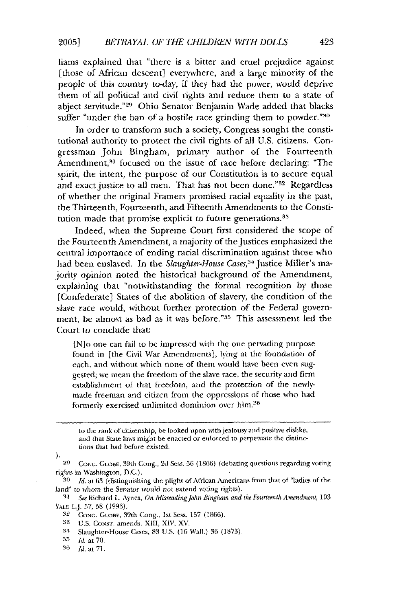liams explained that "there is a bitter and cruel prejudice against [those of African descent] everywhere, and a large minority of the people of this country to-day, if they had the power, would deprive them of all political and civil rights and reduce them to a state of abject servitude."29 Ohio Senator Benjamin Wade added that blacks suffer "under the ban of a hostile race grinding them to powder."<sup>30</sup>

In order to transform such a society, Congress sought the constitutional authority to protect the civil rights of all U.S. citizens. Congressman John Bingham, primary author of the Fourteenth Amendment,<sup>31</sup> focused on the issue of race before declaring: "The spirit, the intent, the purpose of our Constitution is to secure equal and exact justice to all men. That has not been done."<sup>32</sup> Regardless of whether the original Framers promised racial equality in the past, the Thirteenth, Fourteenth, and Fifteenth Amendments to the Constitution made that promise explicit to future generations.<sup>33</sup>

Indeed, when the Supreme Court first considered the scope of the Fourteenth Amendment, a majority of the Justices emphasized the central importance of ending racial discrimination against those who had been enslaved. In the *Slaughter-House Cases,34* Justice Miller's majority opinion noted the historical background of the Amendment, explaining that "notwithstanding the formal recognition by those [Confederate] States of the abolition of slavery, the condition of the slave race would, without further protection of the Federal government, be almost as bad as it was before."<sup>35</sup> This assessment led the Court to conclude that:

[N]o one can fail to be impressed with the one pervading purpose found in [the Civil War Amendments], lying at the foundation of each, and without which none of them would have been even suggested; we mean the freedom of the slave race, the security and firm establishment of that freedom, and the protection of the newlymade freeman and citizen from the oppressions of those who had formerly exercised unlimited dominion over him.36

to the rank of citizenship, be looked upon with jealousy and positive dislike, and that State laws might be enacted or enforced to perpetuate the distinctions that had before existed.

١.

**29** Cot;.. **GcOBE,** 39th Cong., 2d Sess. 56 (1866) (debating questions regarding voting rights in Washington, DC.).

**30** *Id.* at 63 (distinguishing the plight of African Atmericans from that of "ladies of the *land"* to whom the Senator *would* not extend voting rights).

.41 *See* Richard L. Aynes, *On MisreadingJohn* Bingham *and the Fourteenth Amendment,* **103 YALE** LJ. 57, 58 (1993).

<sup>32</sup> CONG. GLOBE, 39th Cong., 1st Sess. 157 (1866).

**S3** U.S. **CoNST.** amends. Xl1, XIV, XV.

34 Slaughter-House Cases, 83 US. (16 Wall.) 36 (1873).

**35** *Id.,* at **70.**

**<sup>36</sup>** Id. at **71.**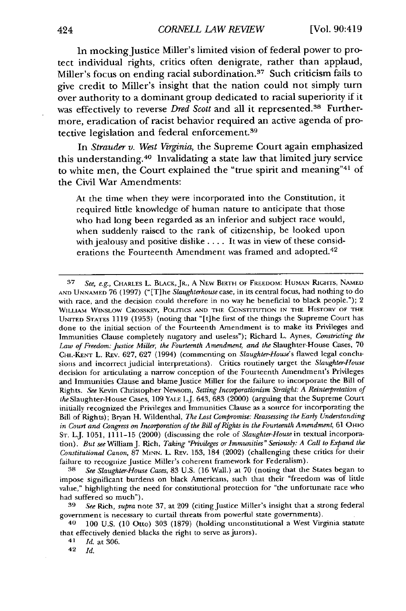In mocking Justice Miller's limited vision of federal power to protect individual rights, critics often denigrate, rather than applaud, Miller's focus on ending racial subordination.<sup>37</sup> Such criticism fails to give credit to Miller's insight that the nation could not simply turn over authority to a dominant group dedicated to racial superiority if it was effectively to reverse *Dred Scott* and all it represented.<sup>38</sup> Furthermore, eradication of racist behavior required an active agenda of protective legislation and federal enforcement.<sup>39</sup>

In *Strauder v. West Virginia,* the Supreme Court again emphasized this understanding. 40 Invalidating a state law that limited jury service to white men, the Court explained the "true spirit and meaning"41 of the Civil War Amendments:

At the time when they were incorporated into the Constitution, it required little knowledge of human nature to anticipate that those who had long been regarded as an inferior and subject race would, when suddenly raised to the rank of citizenship, be looked upon with jealousy and positive dislike .... It was in view of these considerations the Fourteenth Amendment was framed and adopted.<sup>42</sup>

42 *Id.*

**<sup>37</sup>** *See, e.g.,* CHARLES L. BLACK, JR., A NEW **BIRTH** OF **FREEDOM: HUMAN** RIGHTS, **NAMED AND UNNAMED** 76 (1997) ("[T]he *Slaughterhouse* case, in its central focus, had nothing to do with race, and the decision could therefore in no way he beneficial to black people."); 2 WILLIAM WINSLOW CROSSKEY, POLITICS **AND THE CONSTITUTION IN** THE HISTORY OF THE **UNITED STATES 1119** (1953) (noting that "[t]he first of the things the Supreme Court has done to the initial section of the Fourteenth Amendment is to make its Privileges and Immunities Clause completely nugatory and useless"); Richard L. Aynes, *Constricting the Law of Freedom: Justice* **Miller,** *the Fourteenth Amendment, and the* Slaughter-House Cases, **70** CHI.-KENT L. REV. **627, 627** (1994) (commenting on *Slaughter-House's* flawed legal conclu**sions and incorrect** judicial interpretations). **Critics routinely target** the *Slaughter-House* decision for articulating a narrow conception of the Fourteenth Amendment's Privileges and Immunities Clause and blame Justice Miller for the failure to incorporate the Bill of Rights. *See* Kevin Christopher Newsom, *Setting Incorporationism Straight: A Reinterpretation of the* Slaughter-House Cases, **109** YALE L.J. 643, **683** (2000) (arguing that the Supreme Court initially recognized the Privileges and Immunities Clause as a source for incorporating the Bill **of** Rights); Bryan H. Wildenthal, *The Lost Compromise: Reassessing the Early Understanding in Court and Congress on Incorporation of the Bill of Rights in the Fourteenth Amendment,* 61 OHIO **ST.** L.J. 1051, **1111-15** (2000) (discussing the role of *Slaughter-House* in textual incorporation). *But see* William J. Rich, *Taking "Privileges or Immunities" Seriously: A Call to Expand the Constitutional Canon,* 87 MINN. L. REv. 153, 184 (2002) (challenging these critics for their failure to recognize Justice Miller's coherent framework for Federalism).

**<sup>38</sup>** *See Slaughter-House Cases,* 83 U.S. **(16** Wall.) at 70 (noting that the States began to impose significant burdens on black Americans, such that their "freedom was of little value," highlighting the need for constitutional protection for "the unfortunate race who had suffered so much").

**<sup>39</sup>** *See* Rich, *supra* note 37, at 209 (citing Justice Miller's insight that a strong federal government is necessary to curtail threats from powerful state governments).

**<sup>40</sup>** 100 U.S. (10 Otto) 303 (1879) (holding unconstitutional a West Virginia statute that effectively denied blacks the right to serve as jurors).<br><sup>41</sup>Id. at 306.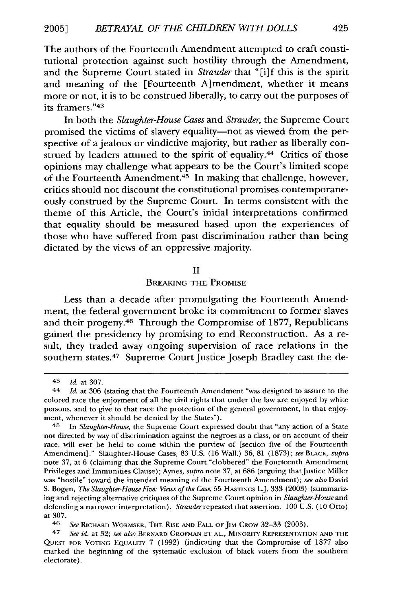The authors of the Fourteenth Amendment attempted to craft constitutional protection against such hostility through the Amendment, and the Supreme Court stated in *Strauder* that "[i]f this is the spirit and meaning of the [Fourteenth A]mendment, whether it means more or not, it is to be construed liberally, to carry out the purposes of its framers."43

In both the *Slaughter-House Cases* and *Strauder,* the Supreme Court promised the victims of slavery equality-not as viewed from the perspective of a jealous or vindictive majority, but rather as liberally construed by leaders attuued to the spirit of equality.<sup>44</sup> Critics of those opinions may challenge what appears to be the Court's limited scope of the Fourteenth Amendment.45 In making that challenge, however, critics should not discount the constitutional promises contemporaneously construed by the Supreme Court. In terms consistent with the theme of this Article, the Court's initial interpretations confirmed that equality should be measured based upon the experiences of those who have suffered from past discrimination rather than being dictated by the views of an oppressive majority.

#### II

#### BREAKING THE PROMISE

Less than a decade after promulgating the Fourteenth Amendment, the federal government broke its commitment to former slaves and their progeny.<sup>46</sup> Through the Compromise of 1877, Republicans gained the presidency by promising to end Reconstruction. As a result, they traded away ongoing supervision of race relations in the southern states.<sup>47</sup> Supreme Court Justice Joseph Bradley cast the de-

46 *See* RICHARD WORMSER, THE RISE AND FALL OF JIM CRow 32-33 (2003).

<sup>43</sup> **Id.** at 307.

<sup>44</sup>*Id.* at 306 (stating that the Fourteenth Amendment "was designed to assure to the colored race the enjoyment of all the civil rights that under the law are enjoyed by white persons, and to give to that race the protection of the general government, in that enjoyment, whenever it should be denied by the States").

<sup>45</sup>In *Slaughter-House,* the Supreme Court expressed doubt that "any action of a State not directed by way of discrimination against the negroes as a class, or on account of their race, will ever be held to come within the purview of [section five of the Fourteenth Amendment]." Slaughter-House Cases, 83 U.S. (16 Wall.) 36, 81 (1873); see BLACK, *supra* note 37, at 6 (claiming that the Supreme Court "clobbered" the Fourteenth Amendment Privileges and Immunities Clause); Aynes, *supra* note 37, at 686 (arguing thatJustice Miller was "hostile" toward the intended meaning of the Fourteenth Amendment); *see also* David S. Bogen, *The Slaughter-House Five: Views of the Case,* 55 HASTINGS L.J. 333 (2003) (summarizing and rejecting alternative critiques of the Supreme Court opinion in *Slaughter-House* and defending a narrower interpretation). Strauderrepeatcd that assertion. 100 U.S. (10 Otto) at 307.

<sup>47</sup>*See id.* at 32; *see also* BERNARD GROFMAN **El1** AL., MiNORIY REPRESENTATION AND THE **QUEST** FOR VOTING EQUALITY 7 (1992) (indicating that the Compromise of 1877 also marked the beginning of the systematic exclusion of black voters from the southern electorate).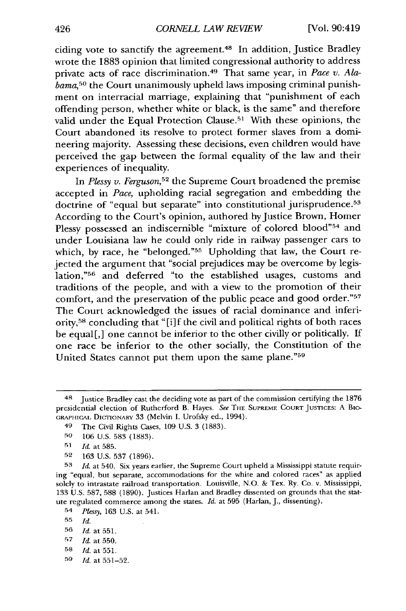ciding vote to sanctify the agreement. 48 In addition, Justice Bradley wrote the 1883 opinion that limited congressional authority to address private acts of race discrimination. 49 That same year, in *Pace v. Alabama,50* the Court unanimously upheld laws imposing criminal punishment on interracial marriage, explaining that "punishment of each offending person, whether white or black, is the same" and therefore valid under the Equal Protection Clause.51 With these opinions, the Court abandoned its resolve to protect former slaves from a domineering majority. Assessing these decisions, even children would have perceived the gap between the formal equality of the law and their experiences of inequality.

In *Plessy v. Ferguson,52* the Supreme Court broadened the premise accepted in *Pace,* upholding racial segregation and embedding the doctrine of "equal but separate" into constitutional jurisprudence.<sup>53</sup> According to the Court's opinion, authored by Justice Brown, Homer Plessy possessed an indiscernible "mixture of colored blood"<sup>54</sup> and under Louisiana law he could only ride in railway passenger cars to which, by race, he "belonged."55 Upholding that law, the Court rejected the argument that "social prejudices may be overcome by legislation,"<sup>56</sup> and deferred "to the established usages, customs and traditions of the people, and with a view to the promotion of their comfort, and the preservation of the public peace and good order."57 The Court acknowledged the issues of racial dominance and inferiority,<sup>58</sup> concluding that "[i]f the civil and political rights of both races be equal[,] one cannot be inferior to the other civilly or politically. If one race be inferior to the other socially, the Constitution of the United States cannot put them upon the same plane."59

**59** *Id.* at 551-52.

<sup>&</sup>lt;sup>48</sup> Justice Bradley cast the deciding vote as part of the commission certifying the 1876 presidential election of Rutherford B. Hayes. *See* THE **SUPREME COURT JUSTICES:** A Bio-GRAPHiCAL DICTIONARY 33 (Melvin I. Urofsky ed., 1994).

<sup>49</sup> The Civil Rights Cases, 109 U.S. 3 (1883).

**<sup>50</sup>** 106 U.S. 583 (1883).

<sup>51</sup> Id. at 585.

**<sup>52</sup>** 163 U.S. 537 (1896).

**<sup>53</sup>** *Id.* at 540. Six years earlier, the Supreme Court upheld a Mississippi statute requiring "equal, but separate, accommodations for the white and colored races" as applied solely to intrastate railroad transportation. Louisville, N.O. & Tex. Ry. Co. v. Mississippi, 133 U.S. 587, 588 (1890). Justices Harlan and Bradley dissented on grounds that the statute regulated commerce among the states. *Id.* at 595 (Harlan, J., dissenting).

<sup>54</sup> *Plessy,* 163 U.S. at 541.

**<sup>55</sup>** *Id.*

**<sup>56</sup>** *Id.* at 551.

**<sup>57</sup>***Id.* at 550.

**<sup>58</sup>** *Id.* at 551.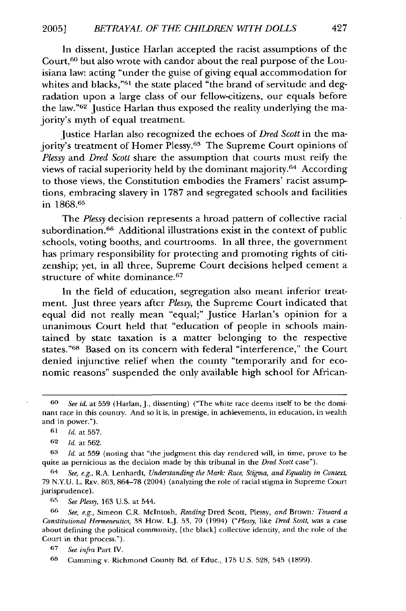In dissent, Justice Harlan accepted the racist assumptions of the Court, 60 but also wrote with candor about the real purpose of the Louisiana law: acting "under the guise of giving equal accommodation for whites and blacks,"<sup>61</sup> the state placed "the brand of servitude and degradation upon a large class of our fellow-citizens, our equals before the law."<sup>62</sup> Justice Harlan thus exposed the reality underlying the majority's myth of equal treatment.

Justice Harlan also recognized the echoes of *Dred Scott* in the majority's treatment of Homer Plessy.<sup>63</sup> The Supreme Court opinions of *Plessy* and *Dred Scott* share the assumption that courts must reify the views of racial superiority held by the dominant majority.64 According to those views, the Constitution embodies the Framers' racist assumptions, embracing slavery in 1787 and segregated schools and facilities in 1868.65

The *Plessy* decision represents a broad pattern of collective racial subordination.<sup>66</sup> Additional illustrations exist in the context of public schools, voting booths, and courtrooms. In all three, the government has primary responsibility for protecting and promoting rights of citizenship; yet, in all three, Supreme Court decisions helped cement a structure of white dominance.<sup>67</sup>

In the field of education, segregation also meant inferior treatment. Just three years after *Plessy,* the Supreme Court indicated that equal did not really mean "equal;" Justice Harlan's opinion for a unanimous Court held that "education of people in schools maintained by state taxation is a matter belonging to the respective states."<sup>68</sup> Based on its concern with federal "interference," the Court denied injunctive relief when the county "temporarily and for economic reasons" suspended the only available high school for African-

*'-' See Plessy,* 163 U.S. at 544.

**66** *See, e.g.,* Simeon C.R. McIntosh, *Reading* Dred Scott, Plessy, *and* Brown: *Toward a Constitutional Hermeneutics,* 38 How. L.J. 53, 70 (1994) *("Plessy,* like *Dred Scott,* was a case about defining the political community, [the black] collective identity, and the role of the Court in that process.").

*<sup>60</sup> See id.* at 559 (Harlan, J., dissenting) ("The white race deems itself to be the dominant race in this country. And so it is, in prestige, in achievements, in education, in wealth and in power.").

**<sup>61</sup>** *Id.* at 557.

**<sup>62</sup>** *Id.* at 562.

**<sup>63</sup>** *Id.* at 559 (noting that "the judgment this day rendered will, in time, prove to **be** quite as pernicious as the decision made by this tribunal in the *Dred Scott* case").

<sup>64</sup> *See, e.g.,* R.A. Lenhardt, *Understanding the Mark: Race, Stigma, and Equality in Context,* 79 N.Y.U. L. Rev. 803, 864-78 (2004) (analyzing the role of racial stigma in Supreme Court jurisprudence).

**<sup>67</sup>** *See infra* Part IV.

**<sup>68</sup>** Cumming v. Richmond County Bd. of Educ., 175 U.S. 528, 545 (1899).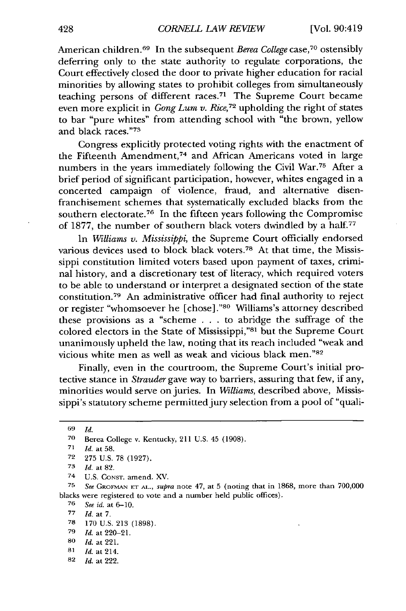American children. 69 In the subsequent *Berea College* case, 70 ostensibly deferring only to the state authority to regulate corporations, the Court effectively closed the door to private higher education for racial minorities by allowing states to prohibit colleges from simultaneously teaching persons of different races.<sup>71</sup> The Supreme Court became even more explicit in *Gong Lum v. Rice*,<sup>72</sup> upholding the right of states to bar "pure whites" from attending school with "the brown, yellow and black races."73

Congress explicitly protected voting rights with the enactment of the Fifteenth Amendment,<sup>74</sup> and African Americans voted in large numbers in the years immediately following the Civil War.75 After a brief period of significant participation, however, whites engaged in a concerted campaign of violence, fraud, and alternative disenfranchisement schemes that systematically excluded blacks from the southern electorate.<sup>76</sup> In the fifteen years following the Compromise of 1877, the number of southern black voters dwindled by a half.77

In *Williams v. Mississippi,* the Supreme Court officially endorsed various devices used to block black voters.78 At that time, the Mississippi constitution limited voters based upon payment of taxes, criminal history, and a discretionary test of literacy, which required voters to be able to understand or interpret a designated section of the state constitution. 79 An administrative officer had final authority to reject or register "whomsoever he [chose]."80 Williams's attorney described these provisions as a "scheme . . . to abridge the suffrage of the colored electors in the State of Mississippi,"<sup>81</sup> but the Supreme Court unanimously upheld the law, noting that its reach included "weak and vicious white men as well as weak and vicious black men."82

Finally, even in the courtroom, the Supreme Court's initial protective stance in *Strauder* gave way to barriers, assuring that few, if any, minorities would serve on juries. In *Williams,* described above, Mississippi's statutory scheme permitted jury selection from a pool of "quali-

*75 See* **GROFMAN ET AL.,** *supra* note 47, at 5 (noting that in **1868,** more than **700,000** blacks were registered to vote and a number held public offices).

**76** *See id.* at 6-10.

**77** *Id.* at 7.

- **81** *Id.* at 214.
- **82** *Id.* at 222.

**<sup>69</sup>** *Id.*

**<sup>70</sup>** Berea College v. Kentucky, 211 **U.S.** 45 **(1908).**

**<sup>71</sup>** *Id.* at **58.**

**<sup>72 275</sup> U.S. 78 (1927).**

*<sup>73</sup> Id.* at **82.**

<sup>74</sup> **U.S.** CONST. amend. XV.

**<sup>78</sup>** 170 U.S. 213 (1898).

**<sup>79</sup>** *Id.* at 220-21.

**<sup>80</sup>** *Id.* at 221.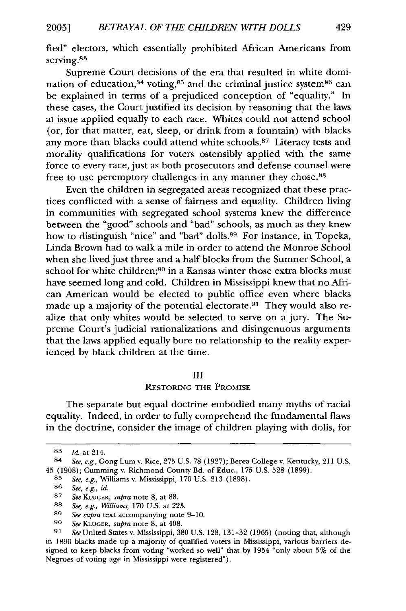fied" electors, which essentially prohibited African Americans from serving.<sup>83</sup>

Supreme Court decisions of the era that resulted in white domination of education,  $84$  voting,  $85$  and the criminal justice system  $86$  can be explained in terms of a prejudiced conception of "equality." In these cases, the Court justified its decision by reasoning that the laws at issue applied equally to each race. Whites could not attend school (or, for that matter, eat, sleep, or drink from a fountain) with blacks any more than blacks could attend white schools.<sup>87</sup> Literacy tests and morality qualifications for voters ostensibly applied with the same force to every race, just as both prosecutors and defense counsel were free to use peremptory challenges in any manner they chose.<sup>88</sup>

Even the children in segregated areas recognized that these practices conflicted with a sense of fairness and equality. Children living in communities with segregated school systems knew the difference between the "good" schools and "bad" schools, as much as they knew how to distinguish "nice" and "bad" dolls.<sup>89</sup> For instance, in Topeka, Linda Brown had to walk a mile in order to attend the Monroe School when she lived just three and a half blocks from the Sumner School, a school for white children;<sup>90</sup> in a Kansas winter those extra blocks must have seemed long and cold. Children in Mississippi knew that no African American would be elected to public office even where blacks made up a majority of the potential electorate.<sup>91</sup> They would also realize that only whites would be selected to serve on a jury. The Supreme Court's judicial rationalizations and disingenuous arguments that the laws applied equally bore no relationship to the reality experienced by black children at the time.

#### III

#### RESTORING THE PROMISE

The separate but equal doctrine embodied many myths of racial equality. Indeed, in order to fully comprehend the fundamental flaws in the doctrine, consider the image of children playing with dolls, for

*<sup>83</sup> Id.* at 214.

<sup>84</sup> *See, e.g.,* Gong Lum v. Rice, 275 U.S. 78 (1927); Berea College v. Kentucky, 211 U.S. 45 (1908); Cumming v. Richmond County Bd. of Educ., 175 U.S. 528 (1899).

**<sup>85</sup>** *See, e.g.,* Williams v. Mississippi, 170 U.S. 213 (1898).

**<sup>86</sup>** *See, e.g., id.*

**<sup>87</sup>** *See* KLuGER, *supra* note 8, at 88.

**<sup>88</sup>** *See, e.g., Williams,* 170 U.S. at 223.

**<sup>89</sup>** *See supra* text accompanying note 9-10.

**<sup>90</sup>** *See* KLUGER, *supra* note 8, at 408.

**<sup>91</sup>** *See* United States v. Mississippi, 380 U.S. 128, 131-32 (1965) (noting that, although in 1890 blacks made up a majority of qualified voters in Mississippi, various barriers designed to keep blacks from voting "worked so well" that by 1954 "only about 5% of the Negroes of voting age in Mississippi were registered").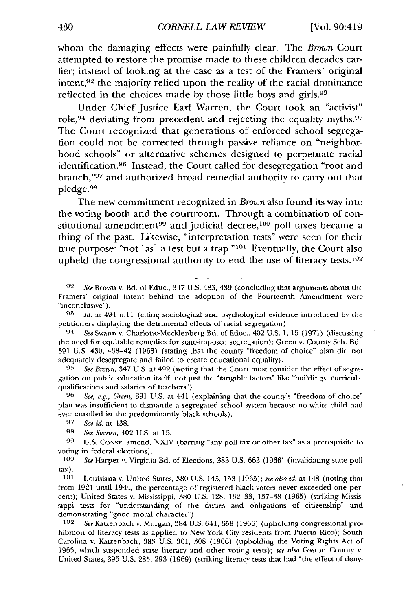whom the damaging effects were painfully clear. The *Brown* Court attempted to restore the promise made to these children decades earlier; instead of looking at the case as a test of the Framers' original intent, $92$  the majority relied upon the reality of the racial dominance reflected in the choices made by those little boys and girls.<sup>93</sup>

Under Chief Justice Earl Warren, the Court took an "activist" role, 94 deviating from precedent and rejecting the equality myths.95 The Court recognized that generations of enforced school segregation could not be corrected through passive reliance on "neighborhood schools" or alternative schemes designed to perpetuate racial identification.<sup>96</sup> Instead, the Court called for desegregation "root and branch,"<sup>97</sup> and authorized broad remedial authority to carry out that pledge. <sup>98</sup>

The new commitment recognized in *Brown* also found its way into the voting booth and the courtroom. Through a combination of constitutional amendment<sup>99</sup> and judicial decree,<sup>100</sup> poll taxes became a thing of the past. Likewise, "interpretation tests" were seen for their true purpose: "not [as] a test but a trap."<sup>101</sup> Eventually, the Court also upheld the congressional authority to end the use of literacy tests.<sup>102</sup>

**96** *See, e.g., Green,* 391 U.S. at 441 (explaining that the county's "freedom of choice" plan was insufficient to dismantle a segregated school system because no white child had ever enrolled in the predominantly black schools).

*100 See* Harper v. Virginia Bd. of Elections, 383 U.S. 663 (1966) (invalidating state poll tax).

**101** Louisiana v. United States, **380** U.S. 145, 153 (1965); *see also id.* at 148 (noting that from 1921 until 1944, the percentage of registered black voters never exceeded one percent); United States v. Mississippi, 380 U.S. 128, 132-33, 137-38 (1965) (striking Mississippi tests for "understanding of the duties and obligations of citizenship" and demonstrating "good moral character").

102 *See* Katzenbach v. Morgan, 384 U.S. 641, 658 (1966) (upholding congressional prohibition of literacy tests as applied to New York City residents from Puerto Rico); South Carolina v. Katzenbach, 383 U.S. 301, 308 (1966) (upholding the Voting Rights Act of 1965, which suspended state literacy and other voting tests); *see also* Gaston County v. United States, 395 U.S. 285, 293 (1969) (striking literacy tests that had "the effect of deny-

**<sup>92</sup>** Spe Brown v. Bd, of Educ., 347 U.S. 483, 489 (concluding that arguments about the Framers' original intent behind the adoption of the Fourteenth Amendment were "inconclusive").

**<sup>93</sup>** *Id.* at 494 n.l1 (citing sociological and psychological evidence introduced by the petitioners displaying the detrimental effects of racial segregation).

<sup>94</sup>*See* Swann v. Charlotte-Mecklenberg Bd. of Educ., 402 U.S. 1, 15 (1971) (discussing the need for equitable remedies for state-imposed segregation); Green v. County Sch. Bd., 391 U.S. 430, 438-42 (1968) (stating that the county "freedom of choice" plan did not adequately desegregate and failed to create educational equality),

**<sup>95</sup>** *See Brown,* 347 U.S. at 492 (noting that the Court must consider the effect of segregation on public education itself, not just the "tangible factors" like "buildings, curricula, qualifications and salaries of teachers").

**<sup>97</sup>** *See id.* at 438.

**<sup>98</sup>** *See* Swann, 402 U.S. at 15.

**<sup>99</sup>** U.S. CONST. amend. XXIV (barring "any poll tax or other tax" as a prerequisite to voting in federal elections).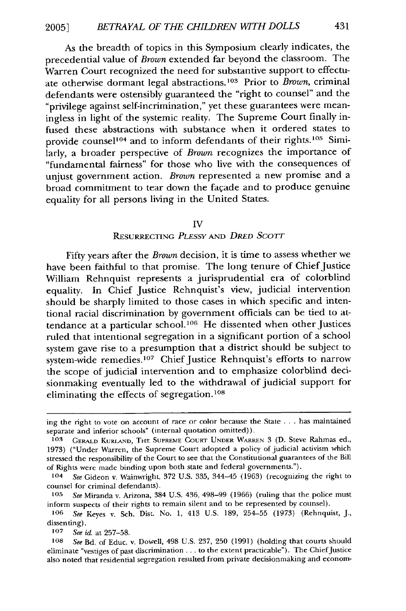As the breadth of topics in this Symposium clearly indicates, the precedential value of *Brown* extended far beyond the classroom. The Warren Court recognized the need for substantive support to effectuate otherwise dormant legal abstractions.<sup>103</sup> Prior to *Brown*, criminal defendants were ostensibly guaranteed the "right to counsel" and the "privilege against self-incrimination," yet these guarantees were meaningless in light of the systemic reality. The Supreme Court finally infused these abstractions with substance when it ordered states to provide counsel<sup>104</sup> and to inform defendants of their rights.<sup>105</sup> Similarly, a broader perspective of *Brown* recognizes the importance of "fundamental fairness" for those who live with the consequences of unjust government action. *Brown* represented a new promise and a broad commitment to tear down the facade and to produce genuine equality for all persons living in the United States.

#### IV

#### RESURRECTING PLESSY *AND* DRED **SCOTT**

Fifty years after the *Brown* decision, it is time to assess whether we have been faithful to that promise. The long tenure of Chief Justice William Rehnquist represents a jurisprudential era of colorblind equality. In Chief Justice Rehnquist's view, judicial intervention should be sharply limited to those cases in which specific and intentional racial discrimination by government officials can be tied to attendance at a particular school.<sup>106</sup> He dissented when other Justices ruled that intentional segregation in a significant portion of a school system gave rise to a presumption that a district should be subject to system-wide remedies.<sup>107</sup> Chief Justice Rehnquist's efforts to narrow the scope of judicial intervention and to emphasize colorblind decisionmaking eventually led to the withdrawal of judicial support for eliminating the effects of segregation.<sup>108</sup>

ing the right to vote on account of race or color because the State **...**has maintained separate and inferior schools" (internal quotation omitted)).

**<sup>103</sup>**GERALD **KURLAND,** THE **SUPREME COURT UNDER** WARREN 3 **(D.** Steve Rahmas ed., 1973) ("Under Warren, the Supreme Court adopted a policy of judicial activism which stressed the responsibility of the Court to see that the Constitutional guarantees of the Bill of Rights were made binding upon both state and federal governments.").

**<sup>104</sup>** See Gideon v. Wainwright, 372 U.S. 335, 344-45 (1963) (recognizing the right to counsel for criminal defendants).

**<sup>105</sup>** See Miranda v. Arizona, 384 U.S. 436, 498-99 (1966) (ruling that the police must inform suspects of their rights to remain silent and to be represented by counsel).

**<sup>106</sup>** See Keyes v. Sch. Dist. No. 1, 413 U.S. 189, 254-55 (1973) (Rehnquist, J., dissenting).

**<sup>107</sup>** See id. at 257-58.

**<sup>108</sup>** See Bd. of Educ. v. Dowell, 498 U.S. 237, 250 (1991) (holding that courts should eliminate "vestiges of past discrimination **...** to the extent practicable"). The Chief Justice also noted that residential segregation resulted from private decisionmaking and econom-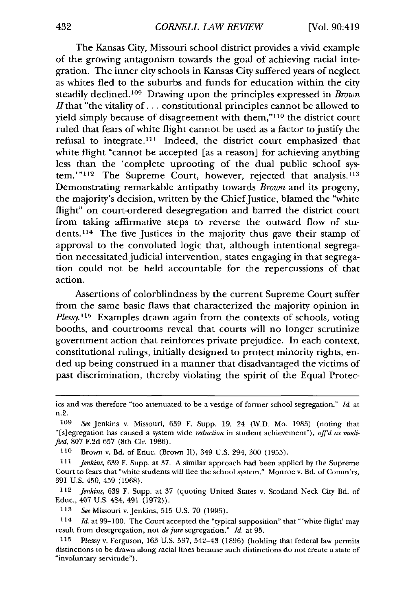The Kansas City, Missouri school district provides a vivid example of the growing antagonism towards the goal of achieving racial integration. The inner city schools in Kansas City suffered years of neglect as whites fled to the suburbs and funds for education within the city steadily declined.<sup>109</sup> Drawing upon the principles expressed in *Brown*  $H$  that "the vitality of  $\ldots$  constitutional principles cannot be allowed to yield simply because of disagreement with them,"<sup>110</sup> the district court ruled that fears of white flight cannot be used as a factor to justify the refusal to integrate.<sup>111</sup> Indeed, the district court emphasized that white flight "cannot be accepted [as a reason] for achieving anything less than the 'complete uprooting of the dual public school system.'"<sup>112</sup> The Supreme Court, however, rejected that analysis.<sup>113</sup> Demonstrating remarkable antipathy towards *Brown* and its progeny, the majority's decision, written by the Chief Justice, blamed the "white flight" on court-ordered desegregation and barred the district court from taking affirmative steps to reverse the outward flow of students.<sup>114</sup> The five Justices in the majority thus gave their stamp of approval to the convoluted logic that, although intentional segregation necessitated judicial intervention, states engaging in that segregation could not be held accountable for the repercussions of that action.

Assertions of colorblindness by the current Supreme Court suffer from the same basic flaws that characterized the majority opinion in *Plessy.*<sup>115</sup> Examples drawn again from the contexts of schools, voting booths, and courtrooms reveal that courts will no longer scrutinize government action that reinforces private prejudice. In each context, constitutional rulings, initially designed to protect minority rights, ended up being construed in a manner that disadvantaged the victims of past discrimination, thereby violating the spirit of the Equal Protec-

112 *Jenkins,* 639 F. Supp. at 37 (quoting United States v. Scotland Neck City Bd. of Educ., 407 U.S. 484, 491 (1972)).

*113 See* Missouri v. Jenkins, 515 U.S. 70 (1995).

114 *Id.* at 99-100. The Court accepted the "typical supposition" that "'white flight' may result from desegregation, not *de jure* segregation." *Id.* at 95.

**115** Plessy v. Ferguson, 163 U.S. 537, 542-43 (1896) (holding that federal law permits distinctions to be drawn along racial lines because such distinctions do not create a state of "involuntary servitude").

ics and was therefore "too attenuated to be a vestige of former school segregation." *Id.* at n.2.

*<sup>109</sup> See* Jenkins v. Missouri, 639 F. Supp. 19, 24 (W.D. Mo. 1985) (noting that "[s]egregation has caused a system wide *reduction* in student achievement"), *affd as modified,* 807 F.2d 657 (8th Cir. 1986).

**<sup>110</sup>** Brown v. Bd. of Educ. (Brown II), 349 U.S. 294, 300 (1955).

**<sup>1</sup>** *1 Jenkins,* 639 F. Supp. at 37. A similar approach had been applied by the Supreme Court to fears that "white students will flee the school system." Monroe v. Bd. of Comm'rs, 391 U.S. 450, 459 (1968).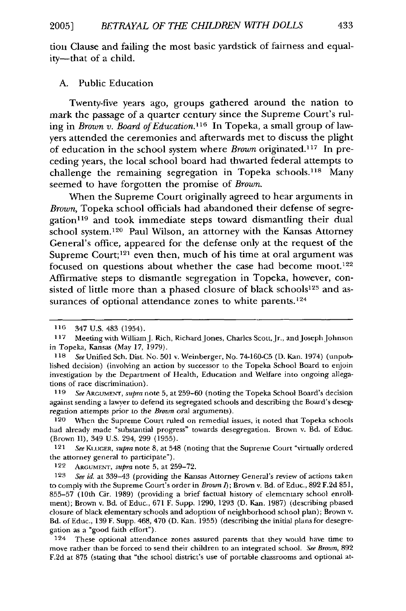tion Clause and failing the most basic yardstick of fairness and equality-that of a child.

#### **A.** Public Education

Twenty-five years ago, groups gathered around the nation to mark the passage of a quarter century since the Supreme Court's ruling in Brown v. Board of Education.<sup>116</sup> In Topeka, a small group of lawyers attended the ceremonies and afterwards met to discuss the plight of education in the school system where *Brown* originated. 117 In preceding years, the local school board had thwarted federal attempts to challenge the remaining segregation in Topeka schools.<sup>118</sup> Many seemed to have forgotten the promise of *Brown.*

When the Supreme Court originally agreed to hear arguments in *Brown,* Topeka school officials had abandoned their defense of segregation<sup>119</sup> and took immediate steps toward dismantling their dual school system.<sup>120</sup> Paul Wilson, an attorney with the Kansas Attorney General's office, appeared for the defense only at the request of the Supreme Court;<sup>121</sup> even then, much of his time at oral argument was focused on questions about whether the case had become moot.<sup>122</sup> Affirmative steps to dismantle segregation in Topeka, however, consisted of little more than a phased closure of black schools<sup>123</sup> and assurances of optional attendance zones to white parents.<sup>124</sup>

**120** When the Supreme Court ruled on remedial issues, it noted that Topeka schools had already made "substantial progress" towards desegregation. Brown v. Bd. of Educ. (Brown I), 349 U.S. 294, 299 (1955).

121 *See* KI.UGER, *supra* note 8, at 548 (noting that the Supreme Court "virtually ordered the attorney general to participate").

122 **ARGUMENT,** *supra* note 5, at 259-72.

124 These optional attendance zones assured parents that they would have time to move rather than be forced to send their children to an integrated school. *See* Brown, 892 F.2d at 875 (stating that "the school district's use of portable classrooms and optional at-

**<sup>116</sup>** 347 U.S. 483 (1954).

<sup>117</sup> Meeting with WilliamJ. Rich, Richard Jones, Charles Scott, Jr., and Joseph Johnson in Topeka, Kansas (May 17, 1979).

**<sup>118</sup>** *See* Unified Sch. Dist. No. 501 v. Weinberger, No. 74-160-C5 (D. Kan. 1974) (unpublished decision) (involving an action by successor to the Topeka School Board to enjoin investigation by the Department of Health, Education and Welfare into ongoing allegations of race discrimination).

*<sup>119</sup> See* ARGUMENT, *supra* note 5, at 259-60 (noting the Topeka School Board's decision against sending a lawyer to defend its segregated schools and describing the Board's desegregation attempts prior to the *Brown* oral arguments).

*<sup>123</sup> See id.* at 339-43 (providing the Kansas Attorney General's review of actions taken to comply with the Supreme Court's order in *Brown I);* Brown v. Bd. of Educ., 892 F.2d 851, 855-57 (10th Cir. 1989) (providing a brief factual history of elementary school enrollment); Brown v. Bd. of Educ., 671 F. Supp. 1290, 1293 (D. Kan. 1987) (describing phased closure of black elementary schools and adoption of neighborhood school plan); Brown v. Bd. of Educ., 139 F. Supp. 468, 470 (D. Kan. 1955) (describing the initial plans for desegregation as a "good faith effort").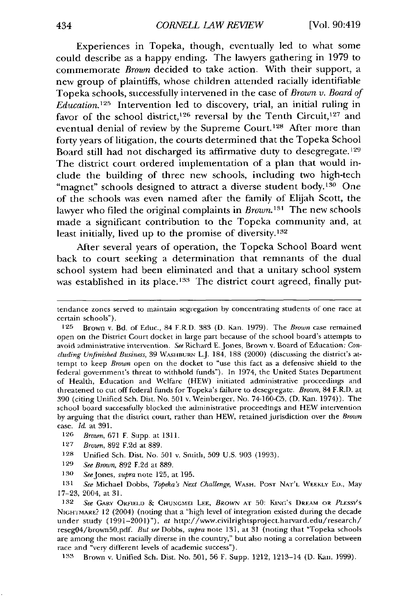Experiences in Topeka, though, eventually led to what some could describe as a happy ending. The lawyers gathering in **1979** to commemorate *Brown* decided to take action. With their support, a new group of plaintiffs, whose children attended racially identifiable Topeka schools, successfully intervened in the case of *Brown v. Board of Education.125* Intervention led to discovery, trial, an initial ruling in favor of the school district,<sup>126</sup> reversal by the Tenth Circuit,<sup>127</sup> and eventual denial of review by the Supreme Court.<sup>128</sup> After more than forty years of litigation, the courts determined that the Topeka School Board still had not discharged its affirmative duty to desegregate.<sup>129</sup> The district court ordered implementation of a plan that would include the building of three new schools, including two high-tech "magnet" schools designed to attract a diverse student body.<sup>130</sup> One of the schools was even named after the family of Elijah Scott, the lawyer who filed the original complaints in *Brown*.<sup>131</sup> The new schools made a significant contribution to the Topeka community and, at least initially, lived up to the promise of diversity.<sup>132</sup>

After several years of operation, the Topeka School Board went back to court seeking a determination that remnants of the dual school system had been eliminated and that a unitary school system was established in its place.<sup>133</sup> The district court agreed, finally put-

**131** See Michael Dobbs, *Topeka's Next Challenge,* **WASH. POST** NAT'L WEEKLY ED., May 17-23, 2004, at 31.

132 See GARY ORIEKLD **& CHUNGMEI LEE,** *BROWN* **AT** 50: KING's **DREAM4** OR **PLESSYS** NIGHTMARE? 12 (2004) (noting that a "high level of integration existed during the decade under study (1991-2001)"), at http://www.civilrightsproject.harvard.edu/research/ reseg04/brown50.pdf. *But see* Dobbs, *supra* note 131, at 31 (noting that "Topeka schools are among the most racially diverse in the country," but also noting a correlation between race and "very different levels of academic success").

**133** Brown v. Unified Sch. Dist. No. 501, 56 F. Supp. 1212, 1213-14 (D. Kan. 1999).

tendance zones served to maintain segregation by concentrating students of one race at certain schools").

**<sup>125</sup>** Brown v. Bd. of Educ, 84 F.R.D. 383 (D. Kan. 1979). The *Brown* case remained open on the District Court docket in large part because of the school board's attempts to avoid administrative intervention. *See* Richard **E.** Jones, Brown v. Board of Education: *Con*cluding Unfinished Business, 39 WASHBURN L.J. 184, 188 (2000) (discussing the district's attempt to keep *Brown* open on the docket to "use this fact as a defensive shield to the federal government's threat to withhold funds"). In 1974, the United States Department of Health, Education and Welfare (HEW) initiated administrative proceedings and threatened to cut off federal funds for Topeka's failure to desegregate. *Brown,* 84 F.R.D. at 390 (citing Unified Sch. Dist. No. 501 v. Weinberger, No. 74-160-C5, (D. Kan. 1974)). The school board successfully blocked the administrative proceedings and HEW intervention by arguing that the district court, rather than HEW, retained jurisdiction over the *Brown* case *Id.* at 391.

**<sup>126</sup>** *Brown,* 671 F. Supp. at **1311.**

**<sup>127</sup>** *Brown,* 892 F.2d at 889.

<sup>128</sup> Unified Sch. Dist. No. 501 v. Smith, 509 U.S. 903 (1993).

**<sup>129</sup>** *See Brown,* **892** F.2d at 889.

**<sup>130</sup>** SeeJones, supra note 125, at 195.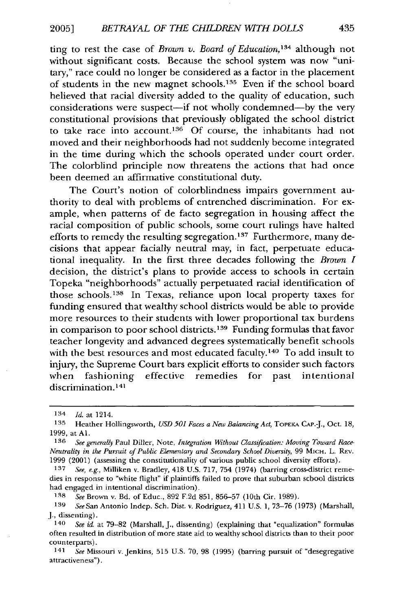ting to rest the case of *Brown v. Board of Education,'34* although not without significant costs. Because the school system was now "unitary," race could no longer be considered as a factor in the placement of students in the new magnet schools.<sup>135</sup> Even if the school board believed that racial diversity added to the quality of education, such considerations were suspect-if not wholly condemned-by the very constitutional provisions that previously obligated the school district to take race into account.<sup>136</sup> Of course, the inhabitants had not moved and their neighborhoods had not suddenly become integrated in the time during which the schools operated under court order. The colorblind principle now threatens the actions that had once been deemed an affirmative constitutional duty.

The Court's notion of colorblindness impairs government authority to deal with problems of entrenched discrimination. For example, when patterns of de facto segregation in housing affect the racial composition of public schools, some court rulings have halted efforts to remedy the resulting segregation.<sup>137</sup> Furthermore, many decisions that appear facially neutral may, in fact, perpetuate educational inequality. In the first three decades following the *Brown I* decision, the district's plans to provide access to schools in certain Topeka "neighborhoods" actually perpetuated racial identification of those schools. 138 In Texas, reliance upon local property taxes for funding ensured that wealthy school districts would be able to provide more resources to their students with lower proportional tax burdens in comparison to poor school districts.<sup>139</sup> Funding formulas that favor teacher longevity and advanced degrees systematically benefit schools with the best resources and most educated faculty.<sup>140</sup> To add insult to injury, the Supreme Court bars explicit efforts to consider such factors when fashioning effective remedies for past intentional discrimination. **<sup>141</sup>**

*1-38 See* Brown v. Bd. of Educ., 892 F.2d 851, 856-57 (10th Cir. 1989).

<sup>134</sup> *Id.* at 1214.<br><sup>135</sup> Heather Hollingsworth, *USD 501 Faces a New Balancing Act*, Topeka Cap.-J., Oct. 18, 1999, at **Al.**

**<sup>136</sup>** *See generally* Paul Diller, Note, *Integration Without Classification: Moving Toward Race-Neutrality in the Pursuit of Public Elementary and Secondary School Diversity,* 99 MicH. L. REv. 1999 (2001) (assessing the constitutionality of various public school diversity efforts).

**<sup>137</sup>** *See, e.g.,* Milliken v. Bradley, 418 U.S. 717, 754 (1974) (barring cross-district remedies in response to "white flight" if plaintiffs failed to prove that suburban school districts had engaged in intentional discrimination).

**<sup>139</sup>** *SeeSan* Antonio Indep. Sch. Dist. v. Rodriguez, 411 U.S. 1, 73-76 (1973) (Marshall, **J.,** dissenting).

<sup>140</sup> *See id.* at 79-82 (Marshall, J., dissenting) (explaining that "equalization" formulas often resulted in distribution of more state aid to wealthy school districts than to their poor counterparts).

<sup>141</sup>*See* Missouri v. Jenkins, 515 U.S. 70, 98 (1995) (barring pursuit of "desegregative attractiveness").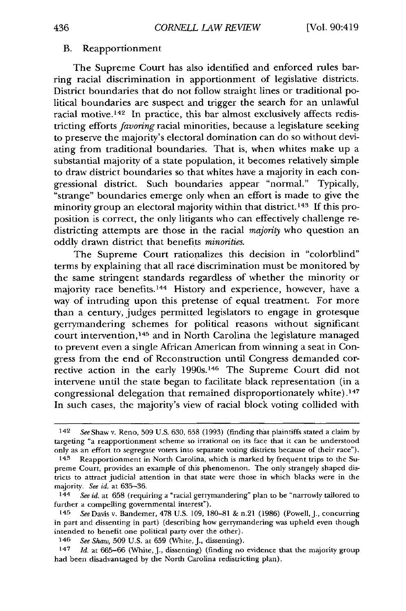#### B. Reapportionment

The Supreme Court has also identified and enforced rules barring racial discrimination in apportionment of legislative districts. District boundaries that do not follow straight lines or traditional political boundaries are suspect and trigger the search for an unlawful racial motive.<sup>142</sup> In practice, this bar almost exclusively affects redistricting efforts *favoring* racial minorities, because a legislature seeking to preserve the majority's electoral domination can do so without deviating from traditional boundaries. That is, when whites make up a substantial majority of a state population, it becomes relatively simple to draw district boundaries so that whites have a majority in each congressional district. Such boundaries appear "normal." Typically, "strange" boundaries emerge only when an effort is made to give the minority group an electoral majority within that district. 143 If this proposition is correct, the only litigants who can effectively challenge redistricting attempts are those in the racial *majority* who question an oddly drawn district that benefits *minorities.*

The Supreme Court rationalizes this decision in "colorblind" terms by explaining that all race discrimination must be monitored by the same stringent standards regardless of whether the minority or majority race benefits.<sup>144</sup> History and experience, however, have a way of intruding upon this pretense of equal treatment. For more than a century, judges permitted legislators to engage in grotesque gerrymandering schemes for political reasons without significant court intervention,<sup>145</sup> and in North Carolina the legislature managed to prevent even a single African American from winning a seat in Congress from the end of Reconstruction until Congress demanded corrective action in the early 1990s.<sup>146</sup> The Supreme Court did not intervene until the state began to facilitate black representation (in a congressional delegation that remained disproportionately white) **.47** In such cases, the majority's view of racial block voting collided with

<sup>142</sup> See Shaw v. Reno, 509 U.S. 630, 658 (1993) (finding that plaintiffs stated a claim **by** targeting "a reapportionment scheme so irrational on its face that it can be understood only as an effort to segregate voters into separate voting districts because of their race").

<sup>143</sup> Reapportionment in North Carolina, which is marked by frequent trips to the Supreme Court, provides an example of this phenomenon. The only strangely shaped districts to attract judicial attention in that state were those in which blacks were in the majority. *See id.* at 635-36.

<sup>144</sup> *See id.* at 658 (requiring a "racial gerrymandering" plan to be "narrowly tailored to further a compelling governmental interest").

<sup>145</sup> *See* Davis v. Bandemer, 478 U.S. 109, 180-81 & n.21 (1986) (Powell,J., concurring in part and dissenting in part) (describing how gerrymandering was upheld even though intended to benefit one political party over the other).

<sup>146</sup> *See Shaw,* 509 U.S. at 659 (White, J., dissenting).

<sup>147</sup> *Id.* at 665-66 (White, J., dissenting) (finding no evidence that the majority group had been disadvantaged by the North Carolina redistricting plan).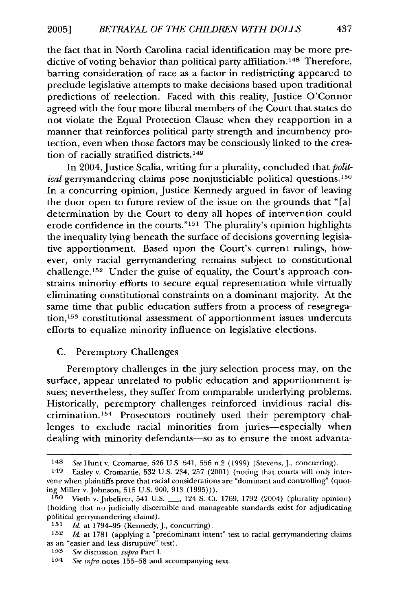the fact that in North Carolina racial identification may be more predictive of voting behavior than political party affiliation.<sup>148</sup> Therefore, barring consideration of race as a factor in redistricting appeared to preclude legislative attempts to make decisions based upon traditional predictions of reelection. Faced with this reality, Justice O'Connor agreed with the four more liberal members of the Court that states do not violate the Equal Protection Clause when they reapportion in a manner that reinforces political party strength and incumbency protection, even when those factors may be consciously linked to the creation of racially stratified districts.<sup>149</sup>

In 2004, Justice Scalia, writing for a plurality, concluded that *political* gerrymandering claims pose nonjusticiable political questions.<sup>150</sup> In a concurring opinion, Justice Kennedy argued in favor of leaving the door open to future review of the issue on the grounds that "[a] determination by the Court to deny all hopes of intervention could erode confidence in the courts."151 The plurality's opinion highlights the inequality lying beneath the surface of decisions governing legislative apportionment. Based upon the Court's current rulings, however, only racial gerrymandering remains subject to constitutional challenge.<sup>152</sup> Under the guise of equality, the Court's approach constrains minority efforts to secure equal representation while virtually eliminating constitutional constraints on a dominant majority. At the same time that public education suffers from a process of resegregation,<sup>153</sup> constitutional assessment of apportionment issues undercuts efforts to equalize minority influence on legislative elections.

#### C. Peremptory Challenges

Peremptory challenges in the jury selection process may, on the surface, appear unrelated to public education and apportionment issues; nevertheless, they suffer from comparable underlying problems. Historically, peremptory challenges reinforced invidious racial discrimination.<sup>154</sup> Prosecutors routinely used their peremptory challenges to exclude racial minorities from juries-especially when dealing with minority defendants-so as to ensure the most advanta-

<sup>148</sup> *See* Hunt v. Cromartie, 526 U.S. 541, 556 n.2 (1999) (Stevens, J., concurring).

<sup>149</sup> Easley v. Cromartie, 532 U.S. 234, 257 (2001) (noting that courts will only intervene when plaintiffs prove that racial considerations are "dominant and controlling" (quoting Miller v. Johnson, **515** U.S. **900,** 913 (1995))).

**<sup>150</sup>**Vieth v. Jubelirer, 541 U.S. **-,** 124 S. Ct. 1769, 1792 (2004) (plurality opinion) (holding that no judicially discernible and manageable standards exist for adjudicating political gerrymandering claims). **<sup>151</sup>***Id.* at 1794-95 (Kennedy, **J.,** concurring).

**<sup>152</sup>** *Id.* at 1781 (applying a "predominant intent" test to racial gerrymandering claims as an "easier and less disruptive" test).

**<sup>153</sup>** *See* discussion *supra* Part I.

<sup>154</sup> *See infra* notes 155-58 and accompanying text.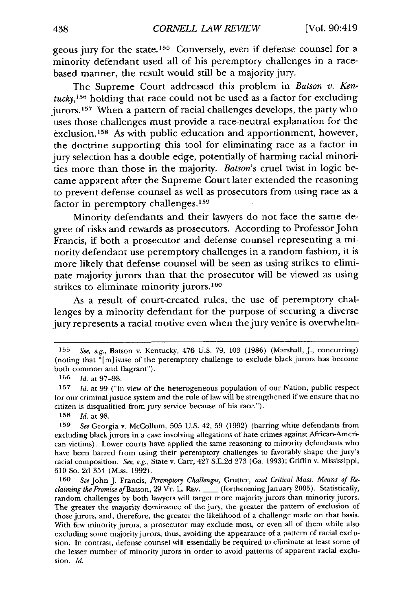geous jury for the state. 155 Conversely, even if defense counsel for a minority defendant used all of his peremptory challenges in a racebased manner, the result would still be a majority jury.

The Supreme Court addressed this problem in *Batson v. Kentucky, <sup>156</sup>*holding that race could not be used as a factor for excluding jurors. 157 When a pattern of racial challenges develops, the party who uses those challenges must provide a race-neutral explanation for the exclusion. 158 As with public education and apportionment, however, the doctrine supporting this tool for eliminating race as a factor in jury selection has a double edge, potentially of harming racial minorities more than those in the majority. *Batson's* cruel twist in logic became apparent after the Supreme Court later extended the reasoning to prevent defense counsel as well as prosecutors from using race as a factor in peremptory challenges. <sup>159</sup>

Minority defendants and their lawyers do not face the same degree of risks and rewards as prosecutors. According to Professor John Francis, if both a prosecutor and defense counsel representing a minority defendant use peremptory challenges in a random fashion, it is more likely that defense counsel will be seen as using strikes to eliminate majority jurors than that the prosecutor will be viewed as using strikes to eliminate minority jurors.<sup>160</sup>

As a result of court-created rules, the use of peremptory challenges by a minority defendant for the purpose of securing a diverse jury represents a racial motive even when the jury venire is overwhelm-

**<sup>155</sup>** *See,* e.g., Batson v. Kentucky, 476 U.S. 79, 103 (1986) (Marshall, J., concurring) (noting that "[m]isuse of the peremptory challenge to exclude black jurors has become both common and flagrant").

**<sup>156</sup>** *Id.* at 97-98.

**<sup>157</sup>** *Id.* at 99 ("In view of the heterogeneous population of our Nation, public respect for our criminal justice system and the rule of law will be strengthened if we ensure that no citizen is disqualified from jury service because of his race.").

**<sup>158</sup>** *Id.* at **98.**

**<sup>159</sup>***See* Georgia v. McCollum, 505 U.S. 42, 59 (1992) (barring white defendants from excluding black jurors in a case involving allegations of hate crimes against African-American victims). Lower courts have applied the same reasoning to minority defendants who have been barred from using their peremptory challenges to favorably shape the jury's racial composition. *See, e.g.,* State v. Carr, 427 S.E.2d 273 (Ga. 1993); Griffin v. Mississippi, 610 So. 2d 354 (Miss. 1992).

**<sup>160</sup>** *See* John J. Francis, *Peremptory Challenges,* Grutter, *and Critical Mass: Means of Reclaiming the Promise of* Batson, 29 VT. L. REv. \_\_ (forthcoming January 2005). Statistically, random challenges by both lawyers will target more majority jurors than minority jurors. The greater the majority dominance of the jury, the greater the pattern of exclusion of those jurors, and, therefore, the greater the likelihood of a challenge made on that basis. With few minority jurors, a prosecutor may exclude most, or even all of them while also excluding some majority jurors, thus, avoiding the appearance of a pattern of racial exclusion. In contrast, defense counsel will essentially be required to eliminate at least some of the lesser number of minority jurors in order to avoid patterns of apparent racial exclusion. *Id.*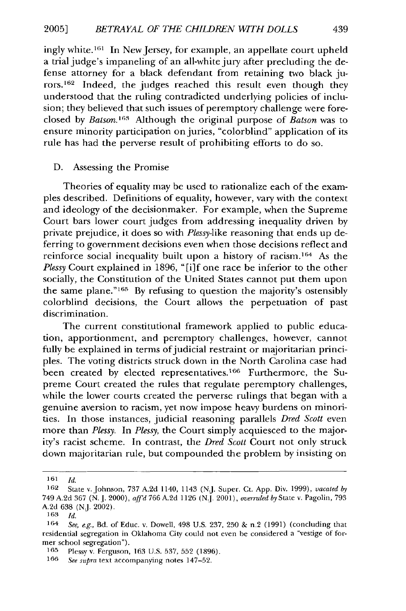ingly white.<sup>161</sup> In New Jersey, for example, an appellate court upheld a trial judge's impaneling of an all-white jury after precluding the defense attorney for a black defendant from retaining two black jurors.<sup>162</sup> Indeed, the judges reached this result even though they understood that the ruling contradicted underlying policies of inclusion; they believed that such issues of peremptory challenge were foreclosed by *Batson*.<sup>163</sup> Although the original purpose of *Batson* was to ensure minority participation on juries, "colorblind" application of its rule has had the perverse result of prohibiting efforts to do so.

#### D. Assessing the Promise

Theories of equality may be used to rationalize each of the examples described. Definitions of equality, however, vary with the context and ideology of the decisionmaker. For example, when the Supreme Court bars lower court judges from addressing inequality driven by private prejudice, it does so with *Plessy-like* reasoning that ends up deferring to government decisions even when those decisions reflect and reinforce social inequality built upon a history of racism. 164 As the *Plessy* Court explained in 1896, "[i]f one race be inferior to the other socially, the Constitution of the United States cannot put them upon the same plane."<sup>165</sup> By refusing to question the majority's ostensibly colorblind decisions, the Court allows the perpetuation of past discrimination.

The current constitutional framework applied to public education, apportionment, and peremptory challenges, however, cannot fully be explained in terms of judicial restraint or majoritarian principles. The voting districts struck down in the North Carolina case had been created by elected representatives.<sup>166</sup> Furthermore, the Supreme Court created the rules that regulate peremptory challenges, while the lower courts created the perverse rulings that began with a genuine aversion to racism, yet now impose heavy burdens on minorities. In those instances, judicial reasoning parallels *Dred Scott* even more than *Plessy.* In *Plessy,* the Court simply acquiesced to the majority's racist scheme. In contrast, the *Dred Scott* Court not only struck down majoritarian rule, but compounded the problem by insisting on

**<sup>161</sup>** *Id.*

**<sup>162</sup>** State v. Johnson, 737 A.2d 1140, 1143 (N.J. Super. Ct. App. Div. 1999), *vacated by* 749 A.2d 367 (N. **J.** 2000), *affd* 766 A.2d 1126 (N.J. 2001), *overruled by* State v. Pagolin, 793 A.2d 638 (N.J. 2002).

**<sup>163</sup>** *Id.*

<sup>164</sup> *See, e.g.,* Bd. of Educ. v. Dowell, 498 U.S. 237, 250 & n.2 (1991) (concluding that residential segregation in Oklahoma City could not even be considered a "vestige of former school segregation").

**<sup>165</sup>** Plessy v. Ferguson, 163 U.S. 537, 552 (1896).

**<sup>166</sup>** *See supra* text accompanying notes 147-52.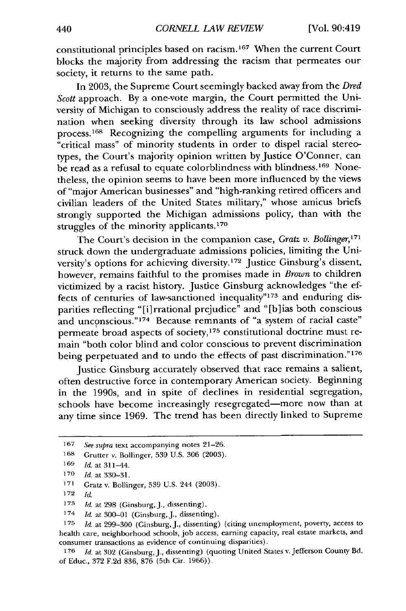constitutional principles based on racism. 167 When the current Court blocks the majority from addressing the racism that permeates our society, it returns to the same path.

In 2003, the Supreme Court seemingly backed away from the *Dred Scott* approach. By a one-vote margin, the Court permitted the University of Michigan to consciously address the reality of race discrimination when seeking diversity through its law school admissions process. 168 Recognizing the compelling arguments for including a "critical mass" of minority students in order to dispel racial stereotypes, the Court's majority opinion written by Justice O'Conner, can be read as a refusal to equate colorblindness with blindness.<sup>169</sup> Nonetheless, the opinion seems to have been more influenced by the views of "major American businesses" and "high-ranking retired officers and civilian leaders of the United States military," whose amicus briefs strongly supported the Michigan admissions policy, than with the struggles of the minority applicants. <sup>170</sup>

The Court's decision in the companion case, *Gratz v. Bollinger*,<sup>171</sup> struck down the undergraduate admissions policies, limiting the University's options for achieving diversity.<sup>172</sup> Justice Ginsburg's dissent, however, remains faithful to the promises made in *Brown* to children victimized by a racist history. Justice Ginsburg acknowledges "the effects of centuries of law-sanctioned inequality"<sup>173</sup> and enduring disparities reflecting "[i]rrational prejudice" and "[b]ias both conscious and unconscious."174 Because remnants of "a system of racial caste" permeate broad aspects of society, 175 constitutional doctrine must remain "both color blind and color conscious to prevent discrimination being perpetuated and to undo the effects of past discrimination."176

Justice Ginsburg accurately observed that race remains a salient, often destructive force in contemporary American society. Beginning in the 1990s, and in spite of declines in residential segregation, schools have become increasingly resegregated-more now than at any time since 1969. The trend has been directly linked to Supreme

172

<sup>167</sup> See supra text accompanying notes 21-26.

<sup>168</sup> Grutter v. Bollinger, 539 U.S. 306 (2003).

 $169$  *Id.* at 311-44.

<sup>170</sup> *Id.* at 330-31.

<sup>171</sup> Gratz v. Bollinger, 539 U.S. 244 (2003).

 $173$  *h*. at 298 (Ginsburg, J., dissenting).

<sup>174</sup> *Id.* at 300-01 (Ginsburg, J., dissenting).

<sup>175</sup> *Id.* at 299-300 (Ginsburg, J., dissenting) (citing unemployment, poverty, access to health care, neighborhood schools, job access, earning capacity, real estate markets, and consumer transactions as evidence of continuing disparities).

<sup>176</sup> *Id.* at 302 (Ginsburg, **J.,** dissenting) (quoting United States v. Jefferson County Bd. of Educ., 372 F.2d 836, 876 (5th Cir. 1966)).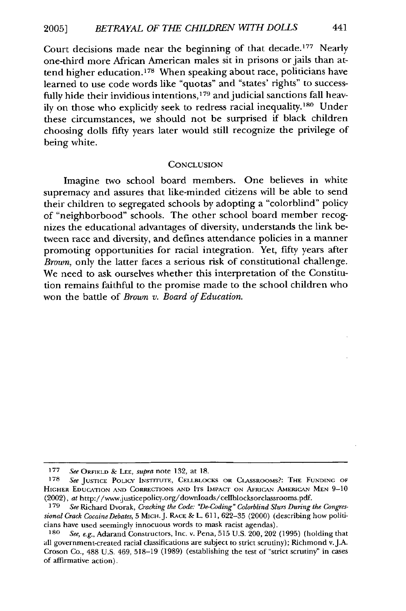Court decisions made near the beginning of that decade.<sup>177</sup> Nearly one-third more African American males sit in prisons or jails than attend higher education. 178 When speaking about race, politicians have learned to use code words like "quotas" and "states' rights" to successfully hide their invidious intentions, 179 and judicial sanctions fall heavily on those who explicitly seek to redress racial inequality.<sup>180</sup> Under these circumstances, we should not be surprised if black children choosing dolls fifty years later would still recognize the privilege of being white.

#### **CONCLUSION**

Imagine two school board members. One believes in white supremacy and assures that like-minded citizens will be able to send their children to segregated schools by adopting a "colorblind" policy of "neighborhood" schools. The other school board member recognizes the educational advantages of diversity, understands the link between race and diversity, and defines attendance policies in a manner promoting opportunities for racial integration. Yet, fifty years after *Brown,* only the latter faces a serious risk of constitutional challenge. We need to ask ourselves whether this interpretation of the Constitution remains faithful to the promise made to the school children who won the battle of *Brown v. Board of Education.*

<sup>177</sup> See ORFIELD & LEE, supra note 132, at 18.

<sup>178</sup> See JUSTICE POLICV INSTITUTE, CELLBLOCKS OR **CLASSROOMS?:** THE FUNDING OF HIGHER EDUCATION AND CORRECTIONS AND ITS IMPACT ON AFRICAN AMERICAN MEN 9-10 (2002), *at* http://www.justicepolicy.org/downloads/cellblocksorclassrooms.pdf.

**<sup>179</sup>** *See* Richard Dvorak, *Cracking the Code: "De-Coding" Colorblind Slurs During the Congressional Crack Cocaine* Debates, 5 MICH.J. RACE & L. 611, 622-35 (2000) (describing how politicians have used seemingly innocuous words to mask racist agendas).

See, e.g., Adarand Constructors, Inc. v. Pena, 515 U.S. 200, 202 (1995) (holding that all government-created racial classifications are subject to strict scrutiny); Richmond v.J.A. Croson Co., 488 U.S. 469, 518-19 (1989) (establishing the test of "strict scrutiny" in cases of affirmative action).